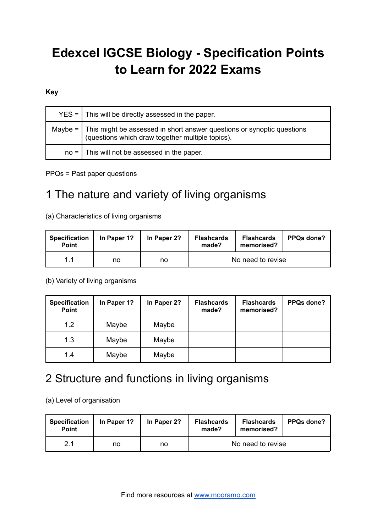# **Edexcel IGCSE Biology - Specification Points to Learn for 2022 Exams**

#### **Key**

| $YES =   This will be directly assessed in the paper.$                                                                                  |
|-----------------------------------------------------------------------------------------------------------------------------------------|
| Maybe = $\vert$ This might be assessed in short answer questions or synoptic questions (questions which draw together multiple topics). |
| $no =$ This will not be assessed in the paper.                                                                                          |

PPQs = Past paper questions

## 1 The nature and variety of living organisms

(a) Characteristics of living organisms

| <b>Specification</b><br><b>Point</b> | In Paper 1? | In Paper 2? | <b>Flashcards</b><br>made? | <b>Flashcards</b><br>memorised? | <b>PPQs done?</b> |
|--------------------------------------|-------------|-------------|----------------------------|---------------------------------|-------------------|
| 11                                   | no          | no          | No need to revise          |                                 |                   |

(b) Variety of living organisms

| <b>Specification</b><br>Point | In Paper 1? | In Paper 2? | <b>Flashcards</b><br>made? | <b>Flashcards</b><br>memorised? | <b>PPQs done?</b> |
|-------------------------------|-------------|-------------|----------------------------|---------------------------------|-------------------|
| 1.2                           | Maybe       | Maybe       |                            |                                 |                   |
| 1.3                           | Maybe       | Maybe       |                            |                                 |                   |
| 1.4                           | Maybe       | Maybe       |                            |                                 |                   |

## 2 Structure and functions in living organisms

(a) Level of organisation

| <b>Specification</b><br><b>Point</b> | In Paper 1? | In Paper 2? | <b>Flashcards</b><br>made? | <b>Flashcards</b><br>memorised? | <b>PPQs done?</b> |
|--------------------------------------|-------------|-------------|----------------------------|---------------------------------|-------------------|
| 21                                   | no          | no          | No need to revise          |                                 |                   |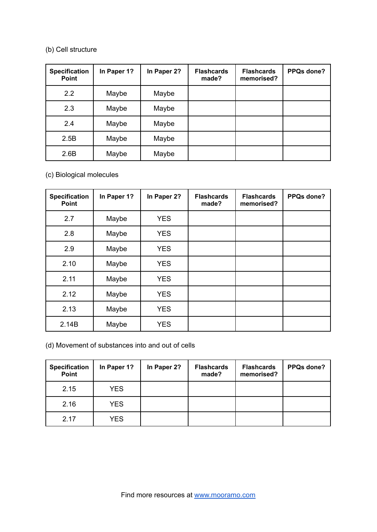## (b) Cell structure

| <b>Specification</b><br><b>Point</b> | In Paper 1? | In Paper 2? | <b>Flashcards</b><br>made? | <b>Flashcards</b><br>memorised? | PPQs done? |
|--------------------------------------|-------------|-------------|----------------------------|---------------------------------|------------|
| 2.2                                  | Maybe       | Maybe       |                            |                                 |            |
| 2.3                                  | Maybe       | Maybe       |                            |                                 |            |
| 2.4                                  | Maybe       | Maybe       |                            |                                 |            |
| 2.5B                                 | Maybe       | Maybe       |                            |                                 |            |
| 2.6B                                 | Maybe       | Maybe       |                            |                                 |            |

## (c) Biological molecules

| <b>Specification</b><br><b>Point</b> | In Paper 1? | In Paper 2? | <b>Flashcards</b><br>made? | <b>Flashcards</b><br>memorised? | PPQs done? |
|--------------------------------------|-------------|-------------|----------------------------|---------------------------------|------------|
| 2.7                                  | Maybe       | <b>YES</b>  |                            |                                 |            |
| 2.8                                  | Maybe       | <b>YES</b>  |                            |                                 |            |
| 2.9                                  | Maybe       | <b>YES</b>  |                            |                                 |            |
| 2.10                                 | Maybe       | <b>YES</b>  |                            |                                 |            |
| 2.11                                 | Maybe       | <b>YES</b>  |                            |                                 |            |
| 2.12                                 | Maybe       | <b>YES</b>  |                            |                                 |            |
| 2.13                                 | Maybe       | <b>YES</b>  |                            |                                 |            |
| 2.14B                                | Maybe       | <b>YES</b>  |                            |                                 |            |

(d) Movement of substances into and out of cells

| <b>Specification</b><br>Point | In Paper 1? | In Paper 2? | <b>Flashcards</b><br>made? | <b>Flashcards</b><br>memorised? | <b>PPQs done?</b> |
|-------------------------------|-------------|-------------|----------------------------|---------------------------------|-------------------|
| 2.15                          | <b>YES</b>  |             |                            |                                 |                   |
| 2.16                          | <b>YES</b>  |             |                            |                                 |                   |
| 2.17                          | <b>YES</b>  |             |                            |                                 |                   |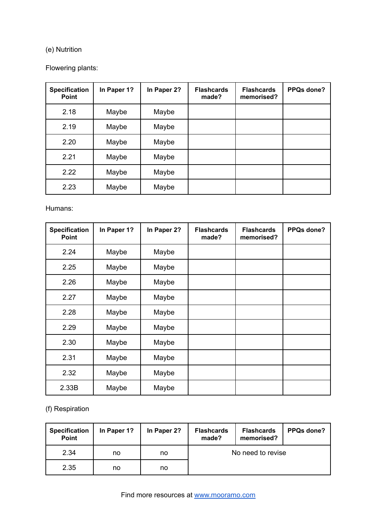## (e) Nutrition

## Flowering plants:

| <b>Specification</b><br><b>Point</b> | In Paper 1? | In Paper 2? | <b>Flashcards</b><br>made? | <b>Flashcards</b><br>memorised? | PPQs done? |
|--------------------------------------|-------------|-------------|----------------------------|---------------------------------|------------|
| 2.18                                 | Maybe       | Maybe       |                            |                                 |            |
| 2.19                                 | Maybe       | Maybe       |                            |                                 |            |
| 2.20                                 | Maybe       | Maybe       |                            |                                 |            |
| 2.21                                 | Maybe       | Maybe       |                            |                                 |            |
| 2.22                                 | Maybe       | Maybe       |                            |                                 |            |
| 2.23                                 | Maybe       | Maybe       |                            |                                 |            |

Humans:

| <b>Specification</b><br><b>Point</b> | In Paper 1? | In Paper 2? | <b>Flashcards</b><br>made? | <b>Flashcards</b><br>memorised? | PPQs done? |
|--------------------------------------|-------------|-------------|----------------------------|---------------------------------|------------|
| 2.24                                 | Maybe       | Maybe       |                            |                                 |            |
| 2.25                                 | Maybe       | Maybe       |                            |                                 |            |
| 2.26                                 | Maybe       | Maybe       |                            |                                 |            |
| 2.27                                 | Maybe       | Maybe       |                            |                                 |            |
| 2.28                                 | Maybe       | Maybe       |                            |                                 |            |
| 2.29                                 | Maybe       | Maybe       |                            |                                 |            |
| 2.30                                 | Maybe       | Maybe       |                            |                                 |            |
| 2.31                                 | Maybe       | Maybe       |                            |                                 |            |
| 2.32                                 | Maybe       | Maybe       |                            |                                 |            |
| 2.33B                                | Maybe       | Maybe       |                            |                                 |            |

(f) Respiration

| <b>Specification</b><br>Point | In Paper 1? | In Paper 2? | <b>Flashcards</b><br>made? | <b>Flashcards</b><br>memorised? | PPQs done? |
|-------------------------------|-------------|-------------|----------------------------|---------------------------------|------------|
| 2.34                          | no          | no          | No need to revise          |                                 |            |
| 2.35                          | no          | no          |                            |                                 |            |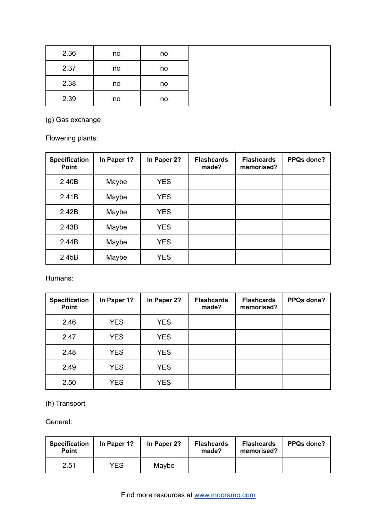| 2.36 | no | no |
|------|----|----|
| 2.37 | no | no |
| 2.38 | no | no |
| 2.39 | no | no |

(g) Gas exchange

Flowering plants:

| <b>Specification</b><br><b>Point</b> | In Paper 1? | In Paper 2? | <b>Flashcards</b><br>made? | <b>Flashcards</b><br>memorised? | PPQs done? |
|--------------------------------------|-------------|-------------|----------------------------|---------------------------------|------------|
| 2.40B                                | Maybe       | <b>YES</b>  |                            |                                 |            |
| 2.41B                                | Maybe       | <b>YES</b>  |                            |                                 |            |
| 2.42B                                | Maybe       | <b>YES</b>  |                            |                                 |            |
| 2.43B                                | Maybe       | <b>YES</b>  |                            |                                 |            |
| 2.44B                                | Maybe       | <b>YES</b>  |                            |                                 |            |
| 2.45B                                | Maybe       | <b>YES</b>  |                            |                                 |            |

Humans:

| <b>Specification</b><br>Point | In Paper 1? | In Paper 2? | <b>Flashcards</b><br>made? | <b>Flashcards</b><br>memorised? | PPQs done? |
|-------------------------------|-------------|-------------|----------------------------|---------------------------------|------------|
| 2.46                          | <b>YES</b>  | <b>YES</b>  |                            |                                 |            |
| 2.47                          | <b>YES</b>  | <b>YES</b>  |                            |                                 |            |
| 2.48                          | <b>YES</b>  | <b>YES</b>  |                            |                                 |            |
| 2.49                          | <b>YES</b>  | <b>YES</b>  |                            |                                 |            |
| 2.50                          | <b>YES</b>  | <b>YES</b>  |                            |                                 |            |

(h) Transport

General:

| <b>Specification</b><br><b>Point</b> | In Paper 1? | In Paper 2? | <b>Flashcards</b><br>made? | <b>Flashcards</b><br>memorised? | <b>PPQs done?</b> |
|--------------------------------------|-------------|-------------|----------------------------|---------------------------------|-------------------|
| 2.51                                 | YES         | Maybe       |                            |                                 |                   |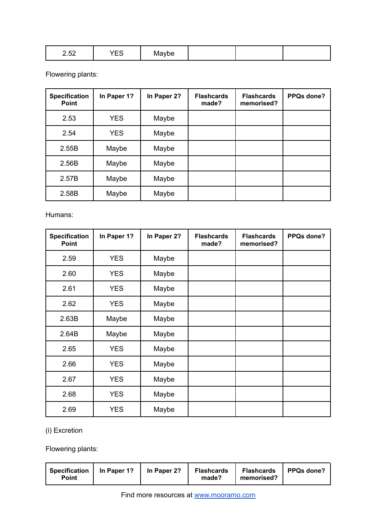| 252<br>$\sim$ | $\sim$<br>$-$ | ıybe |  |  |  |
|---------------|---------------|------|--|--|--|
|---------------|---------------|------|--|--|--|

Flowering plants:

| <b>Specification</b><br><b>Point</b> | In Paper 1? | In Paper 2? | <b>Flashcards</b><br>made? | <b>Flashcards</b><br>memorised? | PPQs done? |
|--------------------------------------|-------------|-------------|----------------------------|---------------------------------|------------|
| 2.53                                 | <b>YES</b>  | Maybe       |                            |                                 |            |
| 2.54                                 | <b>YES</b>  | Maybe       |                            |                                 |            |
| 2.55B                                | Maybe       | Maybe       |                            |                                 |            |
| 2.56B                                | Maybe       | Maybe       |                            |                                 |            |
| 2.57B                                | Maybe       | Maybe       |                            |                                 |            |
| 2.58B                                | Maybe       | Maybe       |                            |                                 |            |

Humans:

| <b>Specification</b><br>Point | In Paper 1? | In Paper 2? | <b>Flashcards</b><br>made? | <b>Flashcards</b><br>memorised? | PPQs done? |
|-------------------------------|-------------|-------------|----------------------------|---------------------------------|------------|
| 2.59                          | <b>YES</b>  | Maybe       |                            |                                 |            |
| 2.60                          | <b>YES</b>  | Maybe       |                            |                                 |            |
| 2.61                          | <b>YES</b>  | Maybe       |                            |                                 |            |
| 2.62                          | <b>YES</b>  | Maybe       |                            |                                 |            |
| 2.63B                         | Maybe       | Maybe       |                            |                                 |            |
| 2.64B                         | Maybe       | Maybe       |                            |                                 |            |
| 2.65                          | <b>YES</b>  | Maybe       |                            |                                 |            |
| 2.66                          | <b>YES</b>  | Maybe       |                            |                                 |            |
| 2.67                          | <b>YES</b>  | Maybe       |                            |                                 |            |
| 2.68                          | <b>YES</b>  | Maybe       |                            |                                 |            |
| 2.69                          | <b>YES</b>  | Maybe       |                            |                                 |            |

(i) Excretion

Flowering plants:

| Specification   In Paper 1?<br><b>Point</b> |  | In Paper 2? | <b>Flashcards</b><br>made? | <b>Flashcards</b><br>memorised? | PPQs done? |
|---------------------------------------------|--|-------------|----------------------------|---------------------------------|------------|
|---------------------------------------------|--|-------------|----------------------------|---------------------------------|------------|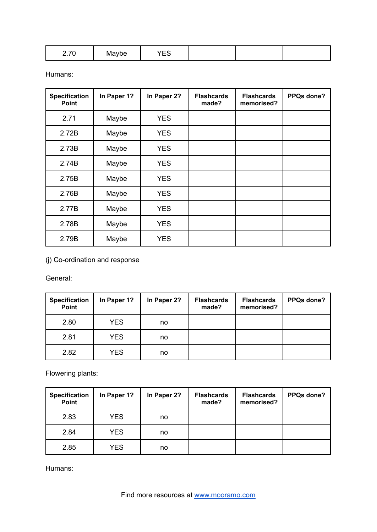| $\sim$ $\sim$<br>v<br>. | $\overline{\phantom{a}}$<br>-n∨l″<br>υe | $\sim$<br>$\cdot$<br>--<br>__ |  |  |  |
|-------------------------|-----------------------------------------|-------------------------------|--|--|--|
|-------------------------|-----------------------------------------|-------------------------------|--|--|--|

Humans:

| <b>Specification</b><br><b>Point</b> | In Paper 1? | In Paper 2? | <b>Flashcards</b><br>made? | <b>Flashcards</b><br>memorised? | PPQs done? |
|--------------------------------------|-------------|-------------|----------------------------|---------------------------------|------------|
| 2.71                                 | Maybe       | <b>YES</b>  |                            |                                 |            |
| 2.72B                                | Maybe       | <b>YES</b>  |                            |                                 |            |
| 2.73B                                | Maybe       | <b>YES</b>  |                            |                                 |            |
| 2.74B                                | Maybe       | <b>YES</b>  |                            |                                 |            |
| 2.75B                                | Maybe       | <b>YES</b>  |                            |                                 |            |
| 2.76B                                | Maybe       | <b>YES</b>  |                            |                                 |            |
| 2.77B                                | Maybe       | <b>YES</b>  |                            |                                 |            |
| 2.78B                                | Maybe       | <b>YES</b>  |                            |                                 |            |
| 2.79B                                | Maybe       | <b>YES</b>  |                            |                                 |            |

(j) Co-ordination and response

General:

| <b>Specification</b><br>Point | In Paper 1? | In Paper 2? | <b>Flashcards</b><br>made? | <b>Flashcards</b><br>memorised? | PPQs done? |
|-------------------------------|-------------|-------------|----------------------------|---------------------------------|------------|
| 2.80                          | <b>YES</b>  | no          |                            |                                 |            |
| 2.81                          | <b>YES</b>  | no          |                            |                                 |            |
| 2.82                          | <b>YES</b>  | no          |                            |                                 |            |

Flowering plants:

| <b>Specification</b><br>Point | In Paper 1? | In Paper 2? | <b>Flashcards</b><br>made? | <b>Flashcards</b><br>memorised? | <b>PPQs done?</b> |
|-------------------------------|-------------|-------------|----------------------------|---------------------------------|-------------------|
| 2.83                          | <b>YES</b>  | no          |                            |                                 |                   |
| 2.84                          | <b>YES</b>  | no          |                            |                                 |                   |
| 2.85                          | <b>YES</b>  | no          |                            |                                 |                   |

Humans: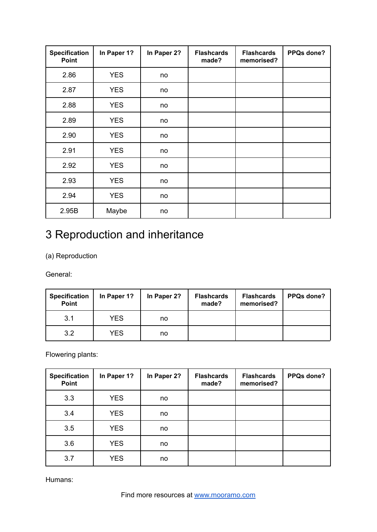| <b>Specification</b><br>Point | In Paper 1? | In Paper 2? | <b>Flashcards</b><br>made? | <b>Flashcards</b><br>memorised? | PPQs done? |
|-------------------------------|-------------|-------------|----------------------------|---------------------------------|------------|
| 2.86                          | <b>YES</b>  | no          |                            |                                 |            |
| 2.87                          | <b>YES</b>  | no          |                            |                                 |            |
| 2.88                          | <b>YES</b>  | no          |                            |                                 |            |
| 2.89                          | <b>YES</b>  | no          |                            |                                 |            |
| 2.90                          | <b>YES</b>  | no          |                            |                                 |            |
| 2.91                          | <b>YES</b>  | no          |                            |                                 |            |
| 2.92                          | <b>YES</b>  | no          |                            |                                 |            |
| 2.93                          | <b>YES</b>  | no          |                            |                                 |            |
| 2.94                          | <b>YES</b>  | no          |                            |                                 |            |
| 2.95B                         | Maybe       | no          |                            |                                 |            |

# 3 Reproduction and inheritance

(a) Reproduction

General:

| <b>Specification</b><br>Point | In Paper 1? | In Paper 2? | <b>Flashcards</b><br>made? | <b>Flashcards</b><br>memorised? | PPQs done? |
|-------------------------------|-------------|-------------|----------------------------|---------------------------------|------------|
| 3.1                           | <b>YES</b>  | no          |                            |                                 |            |
| 3.2                           | <b>YES</b>  | no          |                            |                                 |            |

Flowering plants:

| <b>Specification</b><br>Point | In Paper 1? | In Paper 2? | <b>Flashcards</b><br>made? | <b>Flashcards</b><br>memorised? | PPQs done? |
|-------------------------------|-------------|-------------|----------------------------|---------------------------------|------------|
| 3.3                           | <b>YES</b>  | no          |                            |                                 |            |
| 3.4                           | <b>YES</b>  | no          |                            |                                 |            |
| 3.5                           | <b>YES</b>  | no          |                            |                                 |            |
| 3.6                           | <b>YES</b>  | no          |                            |                                 |            |
| 3.7                           | <b>YES</b>  | no          |                            |                                 |            |

Humans: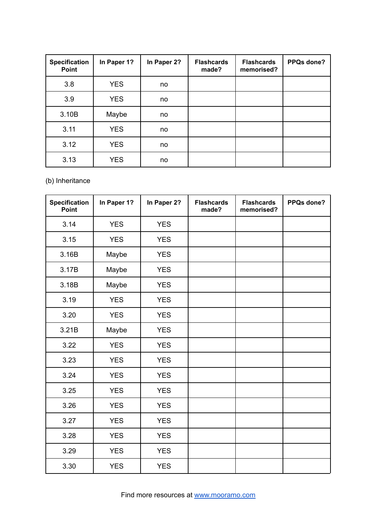| <b>Specification</b><br>Point | In Paper 1? | In Paper 2? | <b>Flashcards</b><br>made? | <b>Flashcards</b><br>memorised? | PPQs done? |
|-------------------------------|-------------|-------------|----------------------------|---------------------------------|------------|
| 3.8                           | <b>YES</b>  | no          |                            |                                 |            |
| 3.9                           | <b>YES</b>  | no          |                            |                                 |            |
| 3.10B                         | Maybe       | no          |                            |                                 |            |
| 3.11                          | <b>YES</b>  | no          |                            |                                 |            |
| 3.12                          | <b>YES</b>  | no          |                            |                                 |            |
| 3.13                          | <b>YES</b>  | no          |                            |                                 |            |

(b) Inheritance

| <b>Specification</b><br><b>Point</b> | In Paper 1? | In Paper 2? | <b>Flashcards</b><br>made? | <b>Flashcards</b><br>memorised? | PPQs done? |
|--------------------------------------|-------------|-------------|----------------------------|---------------------------------|------------|
| 3.14                                 | <b>YES</b>  | <b>YES</b>  |                            |                                 |            |
| 3.15                                 | <b>YES</b>  | <b>YES</b>  |                            |                                 |            |
| 3.16B                                | Maybe       | <b>YES</b>  |                            |                                 |            |
| 3.17B                                | Maybe       | <b>YES</b>  |                            |                                 |            |
| 3.18B                                | Maybe       | <b>YES</b>  |                            |                                 |            |
| 3.19                                 | <b>YES</b>  | <b>YES</b>  |                            |                                 |            |
| 3.20                                 | <b>YES</b>  | <b>YES</b>  |                            |                                 |            |
| 3.21B                                | Maybe       | <b>YES</b>  |                            |                                 |            |
| 3.22                                 | <b>YES</b>  | <b>YES</b>  |                            |                                 |            |
| 3.23                                 | <b>YES</b>  | <b>YES</b>  |                            |                                 |            |
| 3.24                                 | <b>YES</b>  | <b>YES</b>  |                            |                                 |            |
| 3.25                                 | <b>YES</b>  | <b>YES</b>  |                            |                                 |            |
| 3.26                                 | <b>YES</b>  | <b>YES</b>  |                            |                                 |            |
| 3.27                                 | <b>YES</b>  | <b>YES</b>  |                            |                                 |            |
| 3.28                                 | <b>YES</b>  | <b>YES</b>  |                            |                                 |            |
| 3.29                                 | <b>YES</b>  | <b>YES</b>  |                            |                                 |            |
| 3.30                                 | <b>YES</b>  | <b>YES</b>  |                            |                                 |            |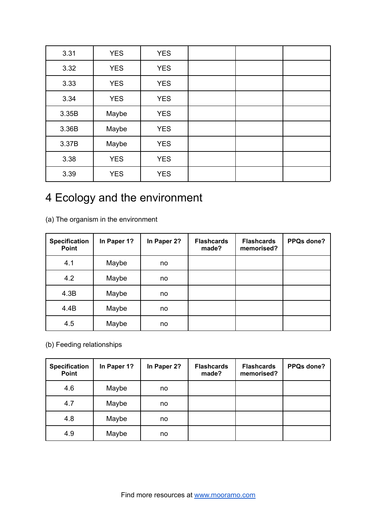| 3.31  | <b>YES</b> | <b>YES</b> |  |  |
|-------|------------|------------|--|--|
| 3.32  | <b>YES</b> | <b>YES</b> |  |  |
| 3.33  | <b>YES</b> | <b>YES</b> |  |  |
| 3.34  | <b>YES</b> | <b>YES</b> |  |  |
| 3.35B | Maybe      | <b>YES</b> |  |  |
| 3.36B | Maybe      | <b>YES</b> |  |  |
| 3.37B | Maybe      | <b>YES</b> |  |  |
| 3.38  | <b>YES</b> | <b>YES</b> |  |  |
| 3.39  | <b>YES</b> | <b>YES</b> |  |  |

# 4 Ecology and the environment

(a) The organism in the environment

| <b>Specification</b><br>Point | In Paper 1? | In Paper 2? | <b>Flashcards</b><br>made? | <b>Flashcards</b><br>memorised? | PPQs done? |
|-------------------------------|-------------|-------------|----------------------------|---------------------------------|------------|
| 4.1                           | Maybe       | no          |                            |                                 |            |
| 4.2                           | Maybe       | no          |                            |                                 |            |
| 4.3B                          | Maybe       | no          |                            |                                 |            |
| 4.4B                          | Maybe       | no          |                            |                                 |            |
| 4.5                           | Maybe       | no          |                            |                                 |            |

(b) Feeding relationships

| <b>Specification</b><br>Point | In Paper 1? | In Paper 2? | <b>Flashcards</b><br>made? | <b>Flashcards</b><br>memorised? | PPQs done? |
|-------------------------------|-------------|-------------|----------------------------|---------------------------------|------------|
| 4.6                           | Maybe       | no          |                            |                                 |            |
| 4.7                           | Maybe       | no          |                            |                                 |            |
| 4.8                           | Maybe       | no          |                            |                                 |            |
| 4.9                           | Maybe       | no          |                            |                                 |            |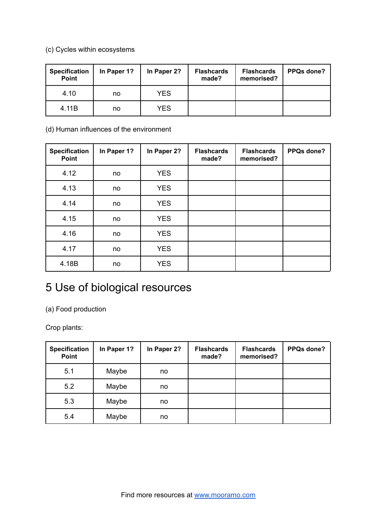## (c) Cycles within ecosystems

| <b>Specification</b><br>Point | In Paper 1? | In Paper 2? | <b>Flashcards</b><br>made? | <b>Flashcards</b><br>memorised? | PPQs done? |
|-------------------------------|-------------|-------------|----------------------------|---------------------------------|------------|
| 4.10                          | no          | <b>YES</b>  |                            |                                 |            |
| 4.11B                         | no          | <b>YES</b>  |                            |                                 |            |

## (d) Human influences of the environment

| <b>Specification</b><br>Point | In Paper 1? | In Paper 2? | <b>Flashcards</b><br>made? | <b>Flashcards</b><br>memorised? | PPQs done? |
|-------------------------------|-------------|-------------|----------------------------|---------------------------------|------------|
| 4.12                          | no          | <b>YES</b>  |                            |                                 |            |
| 4.13                          | no          | <b>YES</b>  |                            |                                 |            |
| 4.14                          | no          | <b>YES</b>  |                            |                                 |            |
| 4.15                          | no          | <b>YES</b>  |                            |                                 |            |
| 4.16                          | no          | <b>YES</b>  |                            |                                 |            |
| 4.17                          | no          | <b>YES</b>  |                            |                                 |            |
| 4.18B                         | no          | <b>YES</b>  |                            |                                 |            |

## 5 Use of biological resources

(a) Food production

Crop plants:

| <b>Specification</b><br>Point | In Paper 1? | In Paper 2? | <b>Flashcards</b><br>made? | <b>Flashcards</b><br>memorised? | PPQs done? |
|-------------------------------|-------------|-------------|----------------------------|---------------------------------|------------|
| 5.1                           | Maybe       | no          |                            |                                 |            |
| 5.2                           | Maybe       | no          |                            |                                 |            |
| 5.3                           | Maybe       | no          |                            |                                 |            |
| 5.4                           | Maybe       | no          |                            |                                 |            |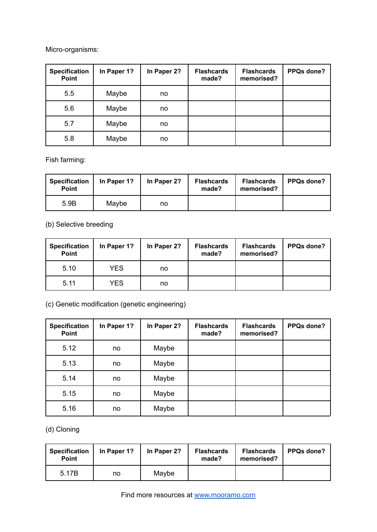Micro-organisms:

| <b>Specification</b><br>Point | In Paper 1? | In Paper 2? | <b>Flashcards</b><br>made? | <b>Flashcards</b><br>memorised? | PPQs done? |
|-------------------------------|-------------|-------------|----------------------------|---------------------------------|------------|
| 5.5                           | Maybe       | no          |                            |                                 |            |
| 5.6                           | Maybe       | no          |                            |                                 |            |
| 5.7                           | Maybe       | no          |                            |                                 |            |
| 5.8                           | Maybe       | no          |                            |                                 |            |

Fish farming:

| <b>Specification</b><br><b>Point</b> | In Paper 1? | In Paper 2? | <b>Flashcards</b><br>made? | <b>Flashcards</b><br>memorised? | PPQs done? |
|--------------------------------------|-------------|-------------|----------------------------|---------------------------------|------------|
| 5.9B                                 | Maybe       | no          |                            |                                 |            |

(b) Selective breeding

| <b>Specification</b><br>Point | In Paper 1? | In Paper 2? | <b>Flashcards</b><br>made? | <b>Flashcards</b><br>memorised? | PPQs done? |
|-------------------------------|-------------|-------------|----------------------------|---------------------------------|------------|
| 5.10                          | <b>YES</b>  | no          |                            |                                 |            |
| 5.11                          | YES         | no          |                            |                                 |            |

## (c) Genetic modification (genetic engineering)

| <b>Specification</b><br><b>Point</b> | In Paper 1? | In Paper 2? | <b>Flashcards</b><br>made? | <b>Flashcards</b><br>memorised? | PPQs done? |
|--------------------------------------|-------------|-------------|----------------------------|---------------------------------|------------|
| 5.12                                 | no          | Maybe       |                            |                                 |            |
| 5.13                                 | no          | Maybe       |                            |                                 |            |
| 5.14                                 | no          | Maybe       |                            |                                 |            |
| 5.15                                 | no          | Maybe       |                            |                                 |            |
| 5.16                                 | no          | Maybe       |                            |                                 |            |

(d) Cloning

| <b>Specification</b><br><b>Point</b> | In Paper 1? | In Paper 2? | <b>Flashcards</b><br>made? | <b>Flashcards</b><br>memorised? | <b>PPQs done?</b> |
|--------------------------------------|-------------|-------------|----------------------------|---------------------------------|-------------------|
| 5.17B                                | no          | Maybe       |                            |                                 |                   |